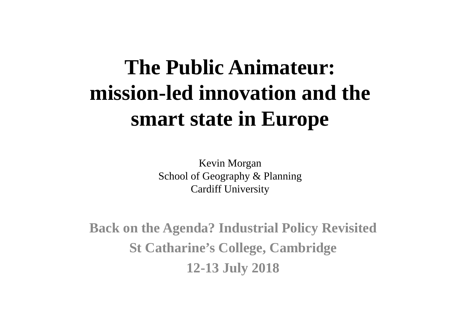#### **The Public Animateur: mission-led innovation and the smart state in Europe**

Kevin Morgan School of Geography & Planning Cardiff University

**Back on the Agenda? Industrial Policy Revisited St Catharine's College, Cambridge 12-13 July 2018**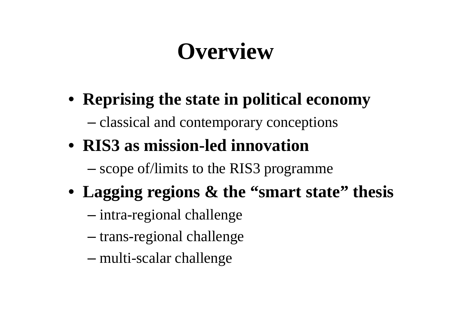### **Overview**

- **Reprising the state in political economy** –classical and contemporary conceptions
- **RIS3 as mission-led innovation** –scope of/limits to the RIS3 programme
- **Lagging regions & the "smart state" thesis**
	- –intra-regional challenge
	- –trans-regional challenge
	- –multi-scalar challenge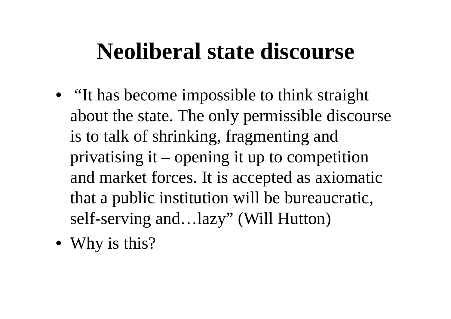#### **Neoliberal state discourse**

- "It has become impossible to think straight about the state. The only permissible discourse is to talk of shrinking, fragmenting and privatising it – opening it up to competition and market forces. It is accepted as axiomatic that a public institution will be bureaucratic, self-serving and…lazy" (Will Hutton)
- Why is this?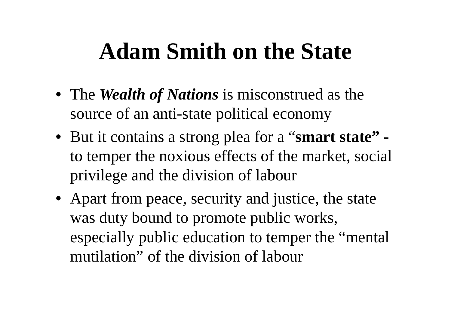#### **Adam Smith on the State**

- The *Wealth of Nations* is misconstrued as the source of an anti-state political economy
- But it contains a strong plea for a "**smart state"**  to temper the noxious effects of the market, social privilege and the division of labour
- Apart from peace, security and justice, the state was duty bound to promote public works, especially public education to temper the "mental mutilation" of the division of labour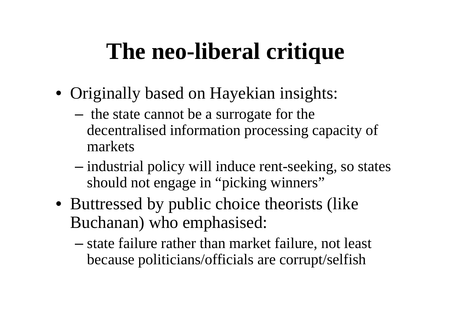### **The neo-liberal critique**

- Originally based on Hayekian insights:
	- –- the state cannot be a surrogate for the decentralised information processing capacity of markets
	- – industrial policy will induce rent-seeking, so states should not engage in "picking winners"
- Buttressed by public choice theorists (like Buchanan) who emphasised:
	- – state failure rather than market failure, not least because politicians/officials are corrupt/selfish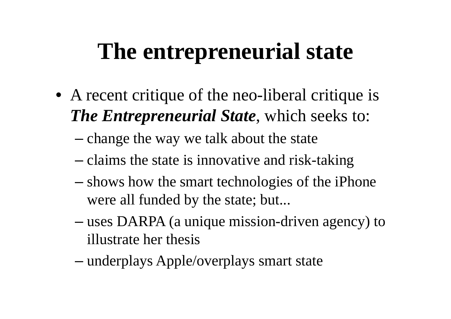### **The entrepreneurial state**

- A recent critique of the neo-liberal critique is *The Entrepreneurial State*, which seeks to:
	- –change the way we talk about the state
	- claims the state is innovative and risk-taking
	- – shows how the smart technologies of the iPhone were all funded by the state; but...
	- – uses DARPA (a unique mission-driven agency) to illustrate her thesis
	- –underplays Apple/overplays smart state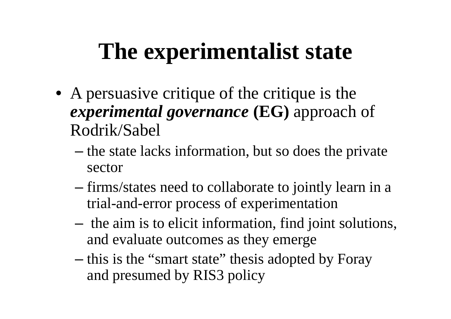### **The experimentalist state**

- A persuasive critique of the critique is the *experimental governance* **(EG)** approach of Rodrik/Sabel
	- –— the state lacks information, but so does the private sector
	- firms/states need to collaborate to jointly learn in a trial-and-error process of experimentation
	- –- the aim is to elicit information, find joint solutions, and evaluate outcomes as they emerge
	- –- this is the "smart state" thesis adopted by Foray and presumed by RIS3 policy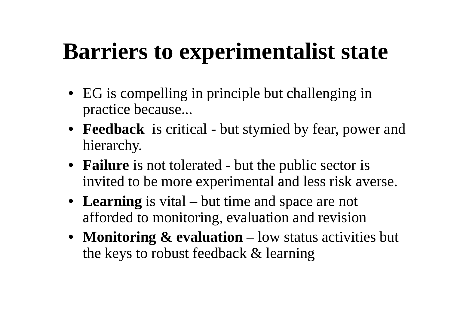### **Barriers to experimentalist state**

- EG is compelling in principle but challenging in practice because...
- **Feedback** is critical but stymied by fear, power and hierarchy.
- **Failure** is not tolerated but the public sector is invited to be more experimental and less risk averse.
- **Learning** is vital but time and space are not afforded to monitoring, evaluation and revision
- **Monitoring & evaluation** low status activities but the keys to robust feedback & learning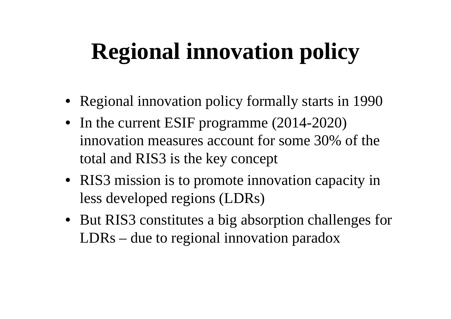## **Regional innovation policy**

- Regional innovation policy formally starts in 1990
- In the current ESIF programme (2014-2020) innovation measures account for some 30% of the total and RIS3 is the key concept
- RIS3 mission is to promote innovation capacity in less developed regions (LDRs)
- But RIS3 constitutes a big absorption challenges for LDRs – due to regional innovation paradox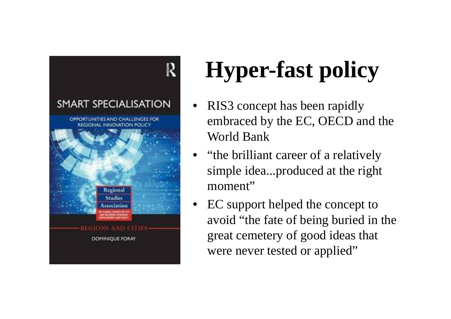

# **Hyper-fast policy**

- • RIS3 concept has been rapidly embraced by the EC, OECD and the World Bank
- • "the brilliant career of a relatively simple idea...produced at the right moment"
- • EC support helped the concept to avoid "the fate of being buried in the great cemetery of good ideas that were never tested or applied"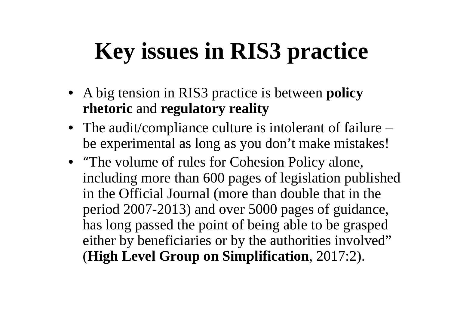## **Key issues in RIS3 practice**

- A big tension in RIS3 practice is between **policy rhetoric** and **regulatory reality**
- The audit/compliance culture is intolerant of failure be experimental as long as you don't make mistakes!
- "The volume of rules for Cohesion Policy alone, including more than 600 pages of legislation published in the Official Journal (more than double that in the period 2007-2013) and over 5000 pages of guidance, has long passed the point of being able to be grasped either by beneficiaries or by the authorities involved" (**High Level Group on Simplification**, 2017:2).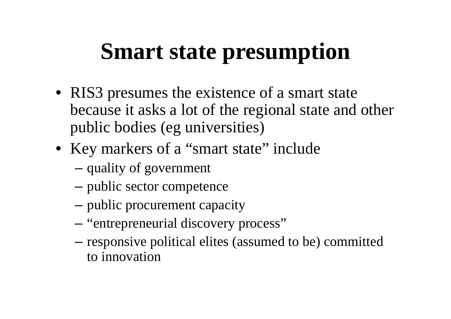### **Smart state presumption**

- RIS3 presumes the existence of a smart state because it asks a lot of the regional state and other public bodies (eg universities)
- Key markers of a "smart state" include
	- –quality of government
	- public sector competence
	- public procurement capacity
	- –- "entrepreneurial discovery process"
	- – responsive political elites (assumed to be) committed to innovation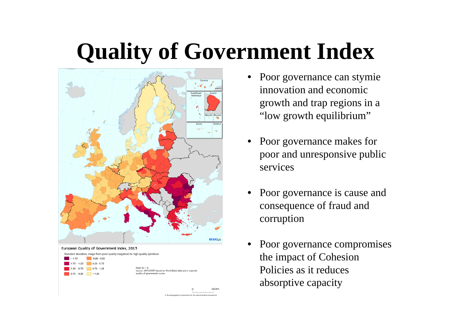### **Quality of Government Index**

500 Km

© EuroGeographics Association for the administrative boundaries



- Poor governance can stymie innovation and economic growth and trap regions in a "low growth equilibrium"
- • Poor governance makes for poor and unresponsive public services
- • Poor governance is cause and consequence of fraud and corruption
- • Poor governance compromises the impact of Cohesion Policies as it reduces absorptive capacity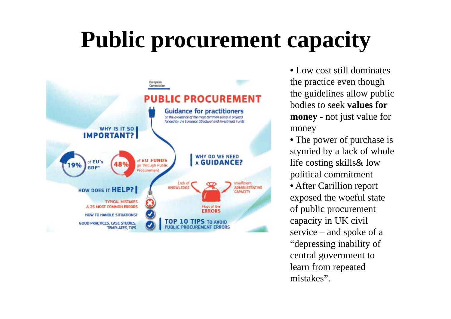## **Public procurement capacity**



• Low cost still dominates the practice even though the guidelines allow public bodies to seek **values for money** - not just value for money

• The power of purchase is stymied by a lack of whole life costing skills& low political commitment

• After Carillion report exposed the woeful state of public procurement capacity in UK civil service – and spoke of a "depressing inability of central government to learn from repeated mistakes".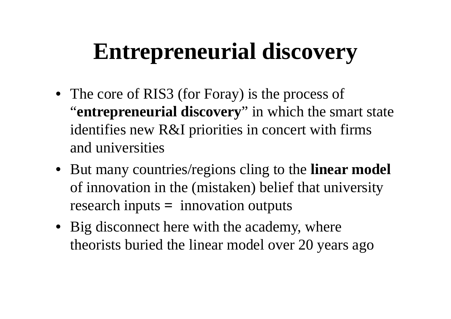## **Entrepreneurial discovery**

- The core of RIS3 (for Foray) is the process of "**entrepreneurial discovery**" in which the smart state identifies new R&I priorities in concert with firms and universities
- But many countries/regions cling to the **linear model**  of innovation in the (mistaken) belief that university research inputs **=** innovation outputs
- Big disconnect here with the academy, where theorists buried the linear model over 20 years ago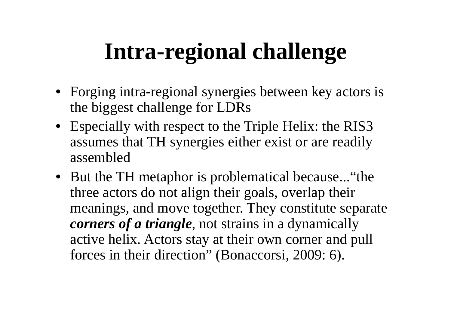## **Intra-regional challenge**

- Forging intra-regional synergies between key actors is the biggest challenge for LDRs
- Especially with respect to the Triple Helix: the RIS3 assumes that TH synergies either exist or are readily assembled
- But the TH metaphor is problematical because... "the three actors do not align their goals, overlap their meanings, and move together. They constitute separate *corners of a triangle*, not strains in a dynamically active helix. Actors stay at their own corner and pull forces in their direction" (Bonaccorsi, 2009: 6).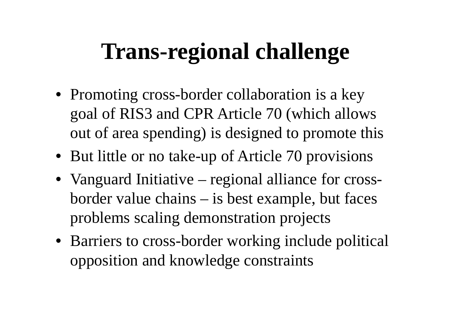### **Trans-regional challenge**

- Promoting cross-border collaboration is a key goal of RIS3 and CPR Article 70 (which allows out of area spending) is designed to promote this
- But little or no take-up of Article 70 provisions
- Vanguard Initiative regional alliance for crossborder value chains – is best example, but faces problems scaling demonstration projects
- Barriers to cross-border working include political opposition and knowledge constraints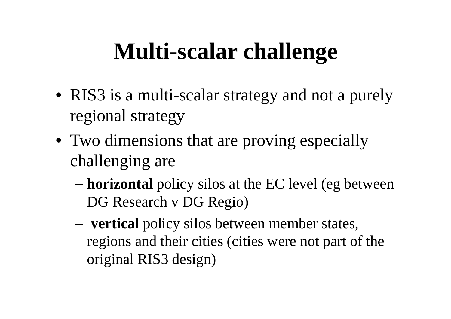### **Multi-scalar challenge**

- RIS3 is a multi-scalar strategy and not a purely regional strategy
- Two dimensions that are proving especially challenging are
	- – **horizontal** policy silos at the EC level (eg between DG Research v DG Regio)
	- – **vertical** policy silos between member states, regions and their cities (cities were not part of the original RIS3 design)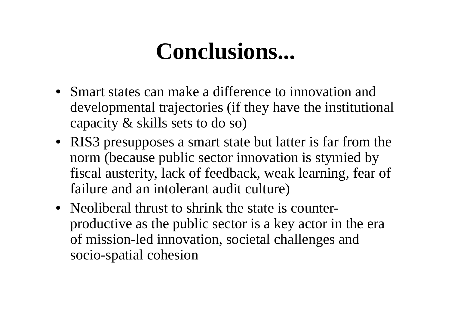#### **Conclusions...**

- Smart states can make a difference to innovation and developmental trajectories (if they have the institutional capacity & skills sets to do so)
- RIS3 presupposes a smart state but latter is far from the norm (because public sector innovation is stymied by fiscal austerity, lack of feedback, weak learning, fear of failure and an intolerant audit culture)
- Neoliberal thrust to shrink the state is counterproductive as the public sector is a key actor in the era of mission-led innovation, societal challenges and socio-spatial cohesion